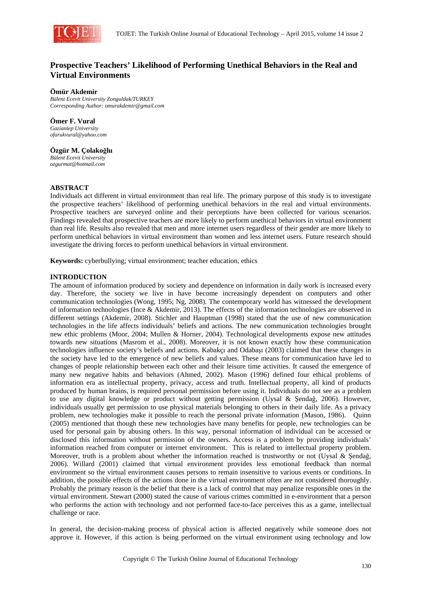

# **Prospective Teachers' Likelihood of Performing Unethical Behaviors in the Real and Virtual Environments**

#### **Ömür Akdemir**

*Bülent Ecevit University Zonguldak/TURKEY Corresponding Author: omurakdemir@gmail.com* 

**Ömer F. Vural**  *Gaziantep University ofarukvural@yahoo.com* 

**Özgür M. Çolakoğlu** 

*Bülent Ecevit University ozgurmat@hotmail.com* 

## **ABSTRACT**

Individuals act different in virtual environment than real life. The primary purpose of this study is to investigate the prospective teachers' likelihood of performing unethical behaviors in the real and virtual environments. Prospective teachers are surveyed online and their perceptions have been collected for various scenarios. Findings revealed that prospective teachers are more likely to perform unethical behaviors in virtual environment than real life. Results also revealed that men and more internet users regardless of their gender are more likely to perform unethical behaviors in virtual environment than women and less internet users. Future research should investigate the driving forces to perform unethical behaviors in virtual environment.

**Keywords:** cyberbullying; virtual environment; teacher education, ethics

## **INTRODUCTION**

The amount of information produced by society and dependence on information in daily work is increased every day. Therefore, the society we live in have become increasingly dependent on computers and other communication technologies (Wong, 1995; Ng, 2008). The contemporary world has witnessed the development of information technologies (Ince & Akdemir, 2013). The effects of the information technologies are observed in different settings (Akdemir, 2008). Stichler and Hauptman (1998) stated that the use of new communication technologies in the life affects individuals' beliefs and actions. The new communication technologies brought new ethic problems (Moor, 2004; Mullen & Horner, 2004). Technological developments expose new attitudes towards new situations (Masrom et al., 2008). Moreover, it is not known exactly how these communication technologies influence society's beliefs and actions. Kabakçı and Odabaşı (2003) claimed that these changes in the society have led to the emergence of new beliefs and values. These means for communication have led to changes of people relationship between each other and their leisure time activities. It caused the emergence of many new negative habits and behaviors (Ahmed, 2002). Mason (1996) defined four ethical problems of information era as intellectual property, privacy, access and truth. Intellectual property, all kind of products produced by human brains, is required personal permission before using it. Individuals do not see as a problem to use any digital knowledge or product without getting permission (Uysal & Şendağ, 2006). However, individuals usually get permission to use physical materials belonging to others in their daily life. As a privacy problem, new technologies make it possible to reach the personal private information (Mason, 1986). Quinn (2005) mentioned that though these new technologies have many benefits for people, new technologies can be used for personal gain by abusing others. In this way, personal information of individual can be accessed or disclosed this information without permission of the owners. Access is a problem by providing individuals' information reached from computer or internet environment. This is related to intellectual property problem. Moreover, truth is a problem about whether the information reached is trustworthy or not (Uysal & Sendağ, 2006). Willard (2001) claimed that virtual environment provides less emotional feedback than normal environment so the virtual environment causes persons to remain insensitive to various events or conditions. In addition, the possible effects of the actions done in the virtual environment often are not considered thoroughly. Probably the primary reason is the belief that there is a lack of control that may penalize responsible ones in the virtual environment. Stewart (2000) stated the cause of various crimes committed in e-environment that a person who performs the action with technology and not performed face-to-face perceives this as a game, intellectual challenge or race.

In general, the decision-making process of physical action is affected negatively while someone does not approve it. However, if this action is being performed on the virtual environment using technology and low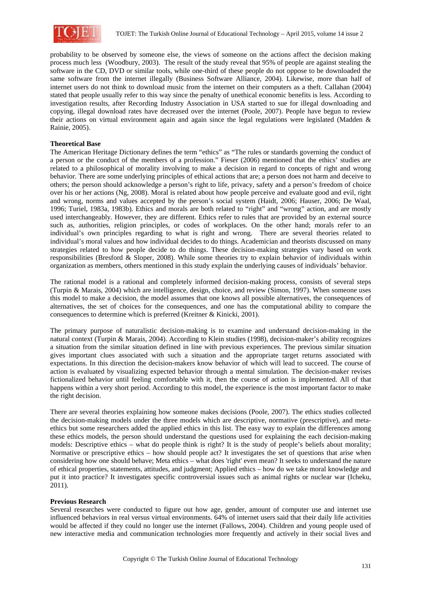

probability to be observed by someone else, the views of someone on the actions affect the decision making process much less (Woodbury, 2003). The result of the study reveal that 95% of people are against stealing the software in the CD, DVD or similar tools, while one-third of these people do not oppose to be downloaded the same software from the internet illegally (Business Software Alliance, 2004). Likewise, more than half of internet users do not think to download music from the internet on their computers as a theft. Callahan (2004) stated that people usually refer to this way since the penalty of unethical economic benefits is less. According to investigation results, after Recording Industry Association in USA started to sue for illegal downloading and copying, illegal download rates have decreased over the internet (Poole, 2007). People have begun to review their actions on virtual environment again and again since the legal regulations were legislated (Madden & Rainie, 2005).

## **Theoretical Base**

The American Heritage Dictionary defines the term "ethics" as "The rules or standards governing the conduct of a person or the conduct of the members of a profession." Fieser (2006) mentioned that the ethics' studies are related to a philosophical of morality involving to make a decision in regard to concepts of right and wrong behavior. There are some underlying principles of ethical actions that are; a person does not harm and deceive to others; the person should acknowledge a person's right to life, privacy, safety and a person's freedom of choice over his or her actions (Ng, 2008). Moral is related about how people perceive and evaluate good and evil, right and wrong, norms and values accepted by the person's social system (Haidt, 2006; Hauser, 2006; De Waal, 1996; Turiel, 1983a, 1983b). Ethics and morals are both related to "right" and "wrong" action, and are mostly used interchangeably. However, they are different. Ethics refer to rules that are provided by an external source such as, authorities, religion principles, or codes of workplaces. On the other hand; morals refer to an individual's own principles regarding to what is right and wrong. There are several theories related to individual's moral values and how individual decides to do things. Academician and theorists discussed on many strategies related to how people decide to do things. These decision-making strategies vary based on work responsibilities (Bresford & Sloper, 2008). While some theories try to explain behavior of individuals within organization as members, others mentioned in this study explain the underlying causes of individuals' behavior.

The rational model is a rational and completely informed decision-making process, consists of several steps (Turpin & Marais, 2004) which are intelligence, design, choice, and review (Simon, 1997). When someone uses this model to make a decision, the model assumes that one knows all possible alternatives, the consequences of alternatives, the set of choices for the consequences, and one has the computational ability to compare the consequences to determine which is preferred (Kreitner & Kinicki, 2001).

The primary purpose of naturalistic decision-making is to examine and understand decision-making in the natural context (Turpin & Marais, 2004). According to Klein studies (1998), decision-maker's ability recognizes a situation from the similar situation defined in line with previous experiences. The previous similar situation gives important clues associated with such a situation and the appropriate target returns associated with expectations. In this direction the decision-makers know behavior of which will lead to succeed. The course of action is evaluated by visualizing expected behavior through a mental simulation. The decision-maker revises fictionalized behavior until feeling comfortable with it, then the course of action is implemented. All of that happens within a very short period. According to this model, the experience is the most important factor to make the right decision.

There are several theories explaining how someone makes decisions (Poole, 2007). The ethics studies collected the decision-making models under the three models which are descriptive, normative (prescriptive), and metaethics but some researchers added the applied ethics in this list. The easy way to explain the differences among these ethics models, the person should understand the questions used for explaining the each decision-making models: Descriptive ethics – what do people think is right? It is the study of people's beliefs about morality; Normative or prescriptive ethics – how should people act? It investigates the set of questions that arise when considering how one should behave; Meta ethics – what does 'right' even mean? It seeks to understand the nature of ethical properties, statements, attitudes, and judgment; Applied ethics – how do we take moral knowledge and put it into practice? It investigates specific controversial issues such as animal rights or nuclear war (Icheku, 2011).

## **Previous Research**

Several researches were conducted to figure out how age, gender, amount of computer use and internet use influenced behaviors in real versus virtual environments. 64% of internet users said that their daily life activities would be affected if they could no longer use the internet (Fallows, 2004). Children and young people used of new interactive media and communication technologies more frequently and actively in their social lives and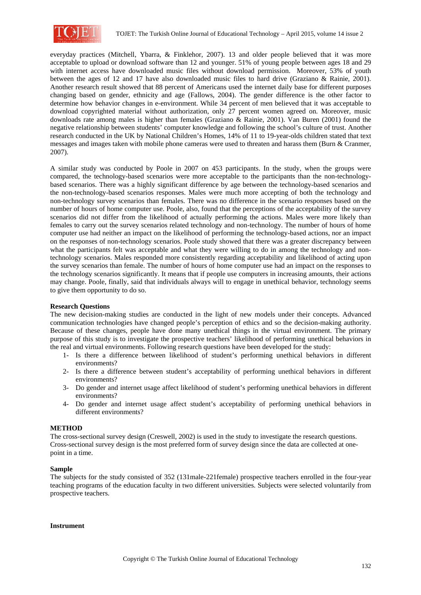

everyday practices (Mitchell, Ybarra, & Finklehor, 2007). 13 and older people believed that it was more acceptable to upload or download software than 12 and younger. 51% of young people between ages 18 and 29 with internet access have downloaded music files without download permission. Moreover, 53% of youth between the ages of 12 and 17 have also downloaded music files to hard drive (Graziano & Rainie, 2001). Another research result showed that 88 percent of Americans used the internet daily base for different purposes changing based on gender, ethnicity and age (Fallows, 2004). The gender difference is the other factor to determine how behavior changes in e-environment. While 34 percent of men believed that it was acceptable to download copyrighted material without authorization, only 27 percent women agreed on. Moreover, music downloads rate among males is higher than females (Graziano & Rainie, 2001). Van Buren (2001) found the negative relationship between students' computer knowledge and following the school's culture of trust. Another research conducted in the UK by National Children's Homes, 14% of 11 to 19-year-olds children stated that text messages and images taken with mobile phone cameras were used to threaten and harass them (Burn & Cranmer, 2007).

A similar study was conducted by Poole in 2007 on 453 participants. In the study, when the groups were compared, the technology-based scenarios were more acceptable to the participants than the non-technologybased scenarios. There was a highly significant difference by age between the technology-based scenarios and the non-technology-based scenarios responses. Males were much more accepting of both the technology and non-technology survey scenarios than females. There was no difference in the scenario responses based on the number of hours of home computer use. Poole, also, found that the perceptions of the acceptability of the survey scenarios did not differ from the likelihood of actually performing the actions. Males were more likely than females to carry out the survey scenarios related technology and non-technology. The number of hours of home computer use had neither an impact on the likelihood of performing the technology-based actions, nor an impact on the responses of non-technology scenarios. Poole study showed that there was a greater discrepancy between what the participants felt was acceptable and what they were willing to do in among the technology and nontechnology scenarios. Males responded more consistently regarding acceptability and likelihood of acting upon the survey scenarios than female. The number of hours of home computer use had an impact on the responses to the technology scenarios significantly. It means that if people use computers in increasing amounts, their actions may change. Poole, finally, said that individuals always will to engage in unethical behavior, technology seems to give them opportunity to do so.

## **Research Questions**

The new decision-making studies are conducted in the light of new models under their concepts. Advanced communication technologies have changed people's perception of ethics and so the decision-making authority. Because of these changes, people have done many unethical things in the virtual environment. The primary purpose of this study is to investigate the prospective teachers' likelihood of performing unethical behaviors in the real and virtual environments. Following research questions have been developed for the study:

- 1- Is there a difference between likelihood of student's performing unethical behaviors in different environments?
- 2- Is there a difference between student's acceptability of performing unethical behaviors in different environments?
- 3- Do gender and internet usage affect likelihood of student's performing unethical behaviors in different environments?
- 4- Do gender and internet usage affect student's acceptability of performing unethical behaviors in different environments?

## **METHOD**

The cross-sectional survey design (Creswell, 2002) is used in the study to investigate the research questions. Cross-sectional survey design is the most preferred form of survey design since the data are collected at onepoint in a time.

#### **Sample**

The subjects for the study consisted of 352 (131male-221female) prospective teachers enrolled in the four-year teaching programs of the education faculty in two different universities. Subjects were selected voluntarily from prospective teachers.

#### **Instrument**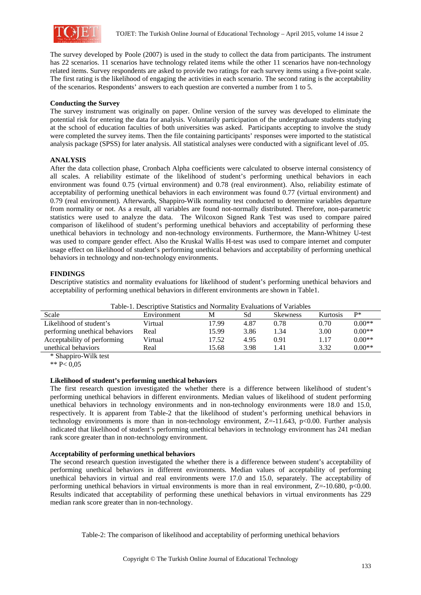

The survey developed by Poole (2007) is used in the study to collect the data from participants. The instrument has 22 scenarios. 11 scenarios have technology related items while the other 11 scenarios have non-technology related items. Survey respondents are asked to provide two ratings for each survey items using a five-point scale. The first rating is the likelihood of engaging the activities in each scenario. The second rating is the acceptability of the scenarios. Respondents' answers to each question are converted a number from 1 to 5.

## **Conducting the Survey**

The survey instrument was originally on paper. Online version of the survey was developed to eliminate the potential risk for entering the data for analysis. Voluntarily participation of the undergraduate students studying at the school of education faculties of both universities was asked. Participants accepting to involve the study were completed the survey items. Then the file containing participants' responses were imported to the statistical analysis package (SPSS) for later analysis. All statistical analyses were conducted with a significant level of .05.

## **ANALYSIS**

After the data collection phase, Cronbach Alpha coefficients were calculated to observe internal consistency of all scales. A reliability estimate of the likelihood of student's performing unethical behaviors in each environment was found 0.75 (virtual environment) and 0.78 (real environment). Also, reliability estimate of acceptability of performing unethical behaviors in each environment was found 0.77 (virtual environment) and 0.79 (real environment). Afterwards, Shappiro-Wilk normality test conducted to determine variables departure from normality or not. As a result, all variables are found not-normally distributed. Therefore, non-parametric statistics were used to analyze the data. The Wilcoxon Signed Rank Test was used to compare paired comparison of likelihood of student's performing unethical behaviors and acceptability of performing these unethical behaviors in technology and non-technology environments. Furthermore, the Mann-Whitney U-test was used to compare gender effect. Also the Kruskal Wallis H-test was used to compare internet and computer usage effect on likelihood of student's performing unethical behaviors and acceptability of performing unethical behaviors in technology and non-technology environments.

## **FINDINGS**

Descriptive statistics and normality evaluations for likelihood of student's performing unethical behaviors and acceptability of performing unethical behaviors in different environments are shown in Table1.

| Table-1. Descriptive Statistics and indifficulty Evaluations of Variables |             |       |      |                 |          |            |  |  |
|---------------------------------------------------------------------------|-------------|-------|------|-----------------|----------|------------|--|--|
| Scale                                                                     | Environment | M     | Sd   | <b>Skewness</b> | Kurtosis | <b>D</b> * |  |  |
| Likelihood of student's                                                   | Virtual     | 17.99 | 4.87 | 0.78            | 0.70     | $0.00**$   |  |  |
| performing unethical behaviors                                            | Real        | 15.99 | 3.86 | 1.34            | 3.00     | $0.00**$   |  |  |
| Acceptability of performing                                               | Virtual     | 17.52 | 4.95 | 0.91            | 1.17     | $0.00**$   |  |  |
| unethical behaviors                                                       | Real        | 15.68 | 3.98 | .41             | 3.32     | $0.00**$   |  |  |

Table-1. Descriptive Statistics and Normality Evaluations of Variables

\* Shappiro-Wilk test

\*\* P< 0,05

## **Likelihood of student's performing unethical behaviors**

The first research question investigated the whether there is a difference between likelihood of student's performing unethical behaviors in different environments. Median values of likelihood of student performing unethical behaviors in technology environments and in non-technology environments were 18.0 and 15.0, respectively. It is apparent from Table-2 that the likelihood of student's performing unethical behaviors in technology environments is more than in non-technology environment,  $Z=$ -11.643, p<0.00. Further analysis indicated that likelihood of student's performing unethical behaviors in technology environment has 241 median rank score greater than in non-technology environment.

## **Acceptability of performing unethical behaviors**

The second research question investigated the whether there is a difference between student's acceptability of performing unethical behaviors in different environments. Median values of acceptability of performing unethical behaviors in virtual and real environments were 17.0 and 15.0, separately. The acceptability of performing unethical behaviors in virtual environments is more than in real environment,  $Z=10.680$ ,  $p<0.00$ . Results indicated that acceptability of performing these unethical behaviors in virtual environments has 229 median rank score greater than in non-technology.

Table-2: The comparison of likelihood and acceptability of performing unethical behaviors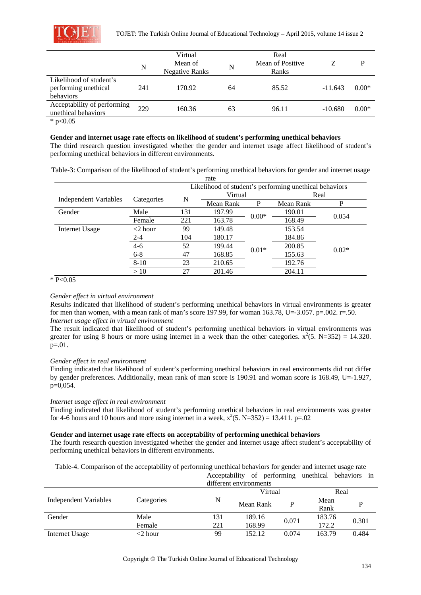

|                                                              |     | Virtual                          |    | Real                      |           |         |
|--------------------------------------------------------------|-----|----------------------------------|----|---------------------------|-----------|---------|
|                                                              | N   | Mean of<br><b>Negative Ranks</b> | N  | Mean of Positive<br>Ranks |           | P       |
| Likelihood of student's<br>performing unethical<br>behaviors | 241 | 170.92                           | 64 | 85.52                     | $-11.643$ | $0.00*$ |
| Acceptability of performing<br>unethical behaviors           | 229 | 160.36                           | 63 | 96.11                     | $-10.680$ | $0.00*$ |

 $*$  p<0.05

#### **Gender and internet usage rate effects on likelihood of student's performing unethical behaviors**

The third research question investigated whether the gender and internet usage affect likelihood of student's performing unethical behaviors in different environments.

Table-3: Comparison of the likelihood of student's performing unethical behaviors for gender and internet usage

| rate                                                   |            |     |           |         |           |         |  |
|--------------------------------------------------------|------------|-----|-----------|---------|-----------|---------|--|
| Likelihood of student's performing unethical behaviors |            |     |           |         |           |         |  |
|                                                        | Categories |     | Virtual   |         | Real      |         |  |
| <b>Independent Variables</b>                           |            | N   | Mean Rank | P       | Mean Rank | P       |  |
| Gender                                                 | Male       | 131 | 197.99    | $0.00*$ | 190.01    | 0.054   |  |
|                                                        | Female     | 221 | 163.78    |         | 168.49    |         |  |
| Internet Usage                                         | $<$ 2 hour | 99  | 149.48    |         | 153.54    |         |  |
|                                                        | $2 - 4$    | 104 | 180.17    |         | 184.86    |         |  |
|                                                        | $4 - 6$    | 52  | 199.44    | $0.01*$ | 200.85    | $0.02*$ |  |
|                                                        | $6 - 8$    | 47  | 168.85    |         | 155.63    |         |  |
|                                                        | $8 - 10$   | 23  | 210.65    |         | 192.76    |         |  |
|                                                        | >10        | 27  | 201.46    |         | 204.11    |         |  |

#### $*$  P<0.05

## *Gender effect in virtual environment*

Results indicated that likelihood of student's performing unethical behaviors in virtual environments is greater for men than women, with a mean rank of man's score 197.99, for woman 163.78, U=-3.057. p=.002. r=.50. *Internet usage effect in virtual environment* 

The result indicated that likelihood of student's performing unethical behaviors in virtual environments was greater for using 8 hours or more using internet in a week than the other categories.  $x^2(5. N=352) = 14.320$ .  $p=0.01$ .

#### *Gender effect in real environment*

Finding indicated that likelihood of student's performing unethical behaviors in real environments did not differ by gender preferences. Additionally, mean rank of man score is 190.91 and woman score is 168.49, U=-1.927, p=0,054.

## *Internet usage effect in real environment*

Finding indicated that likelihood of student's performing unethical behaviors in real environments was greater for 4-6 hours and 10 hours and more using internet in a week,  $x^2(5. N=352) = 13.411$ . p=.02

## **Gender and internet usage rate effects on acceptability of performing unethical behaviors**

The fourth research question investigated whether the gender and internet usage affect student's acceptability of performing unethical behaviors in different environments.

|  |  |  |  |  | Table-4. Comparison of the acceptability of performing unethical behaviors for gender and internet usage rate |
|--|--|--|--|--|---------------------------------------------------------------------------------------------------------------|
|--|--|--|--|--|---------------------------------------------------------------------------------------------------------------|

|                       |            | Acceptability |                        |       | of performing unethical behaviors in |       |
|-----------------------|------------|---------------|------------------------|-------|--------------------------------------|-------|
|                       |            |               | different environments |       |                                      |       |
|                       |            | Virtual       |                        | Real  |                                      |       |
| Independent Variables | Categories | N             | Mean Rank              |       | Mean                                 |       |
|                       |            |               |                        |       | Rank                                 |       |
| Gender                | Male       | 131           | 189.16                 | 0.071 | 183.76                               | 0.301 |
|                       | Female     | 221           | 168.99                 |       | 172.2                                |       |
| Internet Usage        | <2 hour    | 99            | 152.12                 | 0.074 | 163.79                               | 0.484 |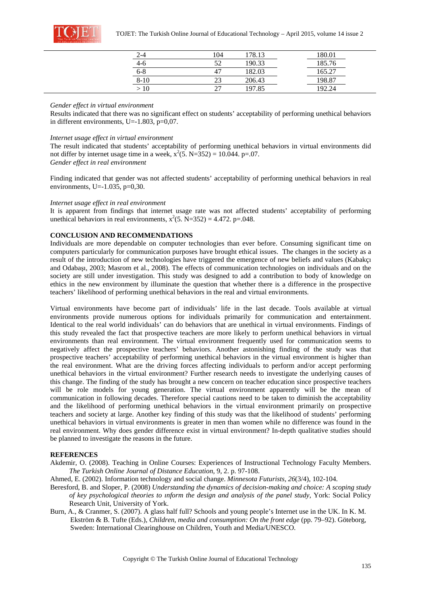

| 2-4      | 104 | 178.13 | 180.01        |
|----------|-----|--------|---------------|
| $4-6$    |     | 190.33 | 185.76        |
| $6 - 8$  |     | 182.03 | 65.27         |
| $8 - 10$ |     | 206.43 | 198.87        |
|          |     | 197.85 | 102<br>$2\pi$ |

#### *Gender effect in virtual environment*

Results indicated that there was no significant effect on students' acceptability of performing unethical behaviors in different environments, U=-1.803, p=0,07.

#### *Internet usage effect in virtual environment*

The result indicated that students' acceptability of performing unethical behaviors in virtual environments did not differ by internet usage time in a week,  $x^2(5. N=352) = 10.044$ . p=.07. *Gender effect in real environment* 

Finding indicated that gender was not affected students' acceptability of performing unethical behaviors in real environments, U= $-1.035$ , p=0,30.

#### *Internet usage effect in real environment*

It is apparent from findings that internet usage rate was not affected students' acceptability of performing unethical behaviors in real environments,  $x^2$ (5. N=352) = 4.472. p=.048.

#### **CONCLUSION AND RECOMMENDATIONS**

Individuals are more dependable on computer technologies than ever before. Consuming significant time on computers particularly for communication purposes have brought ethical issues. The changes in the society as a result of the introduction of new technologies have triggered the emergence of new beliefs and values (Kabakçı and Odabaşı, 2003; Masrom et al., 2008). The effects of communication technologies on individuals and on the society are still under investigation. This study was designed to add a contribution to body of knowledge on ethics in the new environment by illuminate the question that whether there is a difference in the prospective teachers' likelihood of performing unethical behaviors in the real and virtual environments.

Virtual environments have become part of individuals' life in the last decade. Tools available at virtual environments provide numerous options for individuals primarily for communication and entertainment. Identical to the real world individuals' can do behaviors that are unethical in virtual environments. Findings of this study revealed the fact that prospective teachers are more likely to perform unethical behaviors in virtual environments than real environment. The virtual environment frequently used for communication seems to negatively affect the prospective teachers' behaviors. Another astonishing finding of the study was that prospective teachers' acceptability of performing unethical behaviors in the virtual environment is higher than the real environment. What are the driving forces affecting individuals to perform and/or accept performing unethical behaviors in the virtual environment? Further research needs to investigate the underlying causes of this change. The finding of the study has brought a new concern on teacher education since prospective teachers will be role models for young generation. The virtual environment apparently will be the mean of communication in following decades. Therefore special cautions need to be taken to diminish the acceptability and the likelihood of performing unethical behaviors in the virtual environment primarily on prospective teachers and society at large. Another key finding of this study was that the likelihood of students' performing unethical behaviors in virtual environments is greater in men than women while no difference was found in the real environment. Why does gender difference exist in virtual environment? In-depth qualitative studies should be planned to investigate the reasons in the future.

#### **REFERENCES**

Akdemir, O. (2008). Teaching in Online Courses: Experiences of Instructional Technology Faculty Members. *The Turkish Online Journal of Distance Education*, 9, 2. p. 97-108.

Ahmed, E. (2002). Information technology and social change. *Minnesota Futurists, 26*(3/4), 102-104.

- Beresford, B. and Sloper, P. (2008) *Understanding the dynamics of decision-making and choice: A scoping study of key psychological theories to ınform the design and analysis of the panel study*, York: Social Policy Research Unit, University of York.
- Burn, A., & Cranmer, S. (2007). A glass half full? Schools and young people's Internet use in the UK. In K. M. Ekström & B. Tufte (Eds.), *Children, media and consumption: On the front edge* (pp. 79–92). Göteborg, Sweden: International Clearinghouse on Children, Youth and Media/UNESCO.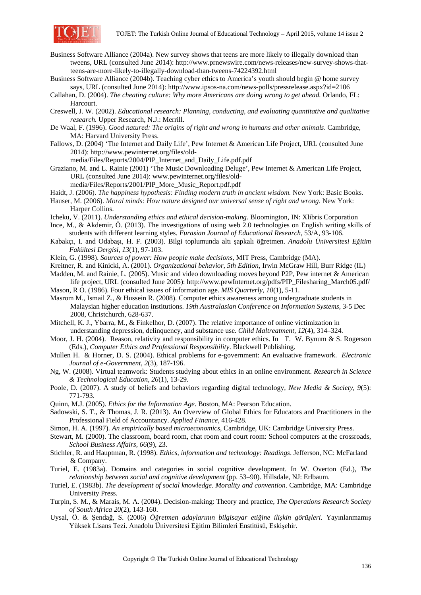

- Business Software Alliance (2004a). New survey shows that teens are more likely to illegally download than tweens, URL (consulted June 2014): http://www.prnewswire.com/news-releases/new-survey-shows-thatteens-are-more-likely-to-illegally-download-than-tweens-74224392.html
- Business Software Alliance (2004b). Teaching cyber ethics to America's youth should begin @ home survey says, URL (consulted June 2014): http://www.ipsos-na.com/news-polls/pressrelease.aspx?id=2106
- Callahan, D. (2004). *The cheating culture: Why more Americans are doing wrong to get ahead.* Orlando, FL: Harcourt.
- Creswell, J. W. (2002). *Educational research: Planning, conducting, and evaluating quantitative and qualitative research.* Upper Research, N.J.: Merrill.
- De Waal, F. (1996). *Good natured: The origins of right and wrong in humans and other animals*. Cambridge, MA: Harvard University Press.
- Fallows, D. (2004) 'The Internet and Daily Life', Pew Internet & American Life Project, URL (consulted June 2014): http://www.pewinternet.org/files/old-

media/Files/Reports/2004/PIP\_Internet\_and\_Daily\_Life.pdf.pdf

- Graziano, M. and L. Rainie (2001) 'The Music Downloading Deluge', Pew Internet & American Life Project, URL (consulted June 2014): www.pewinternet.org/files/old
	- media/Files/Reports/2001/PIP\_More\_Music\_Report.pdf.pdf
- Haidt, J. (2006). *The happiness hypothesis: Finding modern truth in ancient wisdom.* New York: Basic Books.
- Hauser, M. (2006). *Moral minds: How nature designed our universal sense of right and wrong*. New York: Harper Collins.
- Icheku, V. (2011). *Understanding ethics and ethical decision-making*. Bloomington, IN: Xlibris Corporation
- Ince, M., & Akdemir, Ö. (2013). The investigations of using web 2.0 technologies on English writing skills of students with different learning styles. *Eurasian Journal of Educational Research*, 53/A, 93-106.
- Kabakçı, I. and Odabaşı, H. F. (2003). Bilgi toplumunda altı şapkalı öğretmen. *Anadolu Üniversitesi Eğitim Fakültesi Dergisi, 13*(1), 97-103.
- Klein, G. (1998). *Sources of power: How people make decisions*, MIT Press, Cambridge (MA).
- Kreitner, R. and Kinicki, A. (2001). *Organizational behavior, 5th Edition*, Irwin McGraw Hill, Burr Ridge (IL)
- Madden, M. and Rainie, L. (2005). Music and video downloading moves beyond P2P, Pew internet & American life project, URL (consulted June 2005): http://www.pewInternet.org/pdfs/PIP\_Filesharing\_March05.pdf/
- Mason, R O. (1986). Four ethical issues of information age. *MIS Quarterly, 10*(1), 5-11.
- Masrom M., Ismail Z., & Hussein R. (2008). Computer ethics awareness among undergraduate students in Malaysian higher education institutions. *19th Australasian Conference on Information Systems*, 3-5 Dec 2008, Christchurch, 628-637.
- Mitchell, K. J., Ybarra, M., & Finkelhor, D. (2007). The relative importance of online victimization in understanding depression, delinquency, and substance use. *Child Maltreatment, 12*(4), 314–324.
- Moor, J. H. (2004). Reason, relativity and responsibility in computer ethics. In T. W. Bynum & S. Rogerson (Eds.), *Computer Ethics and Professional Responsibility*. Blackwell Publishing.
- Mullen H. & Horner, D. S. (2004). Ethical problems for e-government: An evaluative framework. *Electronic Journal of e-Government*, *2*(3), 187-196.
- Ng, W. (2008). Virtual teamwork: Students studying about ethics in an online environment. *Research in Science & Technological Education, 26*(1), 13-29.
- Poole, D. (2007). A study of beliefs and behaviors regarding digital technology, *New Media & Society, 9*(5): 771-793.
- Quinn, M.J. (2005). *Ethics for the Information Age*. Boston, MA: Pearson Education.
- Sadowski, S. T., & Thomas, J. R. (2013). An Overview of Global Ethics for Educators and Practitioners in the Professional Field of Accountancy. *Applied Finance*, 416-428.
- Simon, H. A. (1997). *An empirically based microeconomics*, Cambridge, UK: Cambridge University Press.
- Stewart, M. (2000). The classroom, board room, chat room and court room: School computers at the crossroads, *School Business Affairs, 66*(9), 23.
- Stichler, R. and Hauptman, R. (1998). *Ethics, information and technology: Readings*. Jefferson, NC: McFarland & Company.
- Turiel, E. (1983a). Domains and categories in social cognitive development. In W. Overton (Ed.), *The relationship between social and cognitive development* (pp. 53–90). Hillsdale, NJ: Erlbaum.
- Turiel, E. (1983b). *The development of social knowledge. Morality and convention*. Cambridge, MA: Cambridge University Press.
- Turpin, S. M., & Marais, M. A. (2004). Decision-making: Theory and practice, *The Operations Research Society of South Africa 20*(2), 143-160.
- Uysal, Ö. & Şendağ, S. (2006) *Öğretmen adaylarının bilgisayar etiğine ilişkin görüşleri.* Yayınlanmamış Yüksek Lisans Tezi. Anadolu Üniversitesi Eğitim Bilimleri Enstitüsü, Eskişehir.